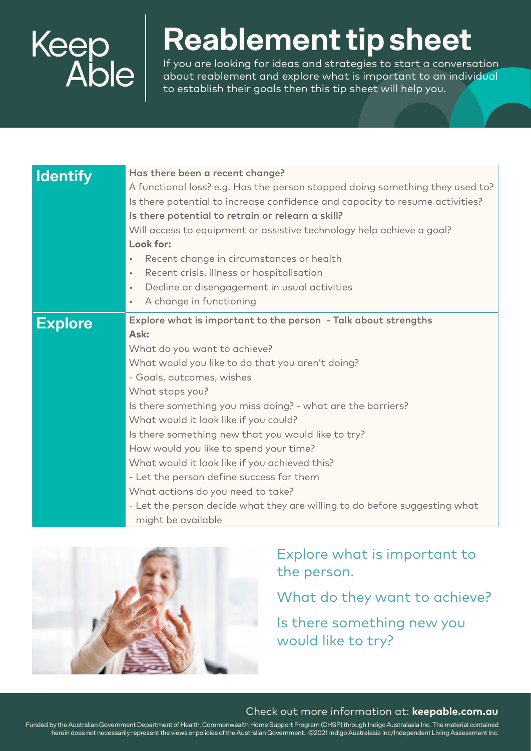

## **Reablement tip sheet**

If you are looking for ideas and strategies to start a conversation about reablement and explore what is important to an individual to establish their goals then this tip sheet will help you.

| <b>Identify</b> | Has there been a recent change?<br>A functional loss? e.g. Has the person stopped doing something they used to?<br>Is there potential to increase confidence and capacity to resume activities?<br>Is there potential to retrain or relearn a skill?<br>Will access to equipment or assistive technology help achieve a goal?<br>Look for:<br>Recent change in circumstances or health<br>Recent crisis, illness or hospitalisation<br>$\bullet$<br>Decline or disengagement in usual activities<br>$\bullet$<br>A change in functioning<br>$\bullet$                                                                                                    |
|-----------------|----------------------------------------------------------------------------------------------------------------------------------------------------------------------------------------------------------------------------------------------------------------------------------------------------------------------------------------------------------------------------------------------------------------------------------------------------------------------------------------------------------------------------------------------------------------------------------------------------------------------------------------------------------|
| <b>Explore</b>  | Explore what is important to the person - Talk about strengths<br>Ask:<br>What do you want to achieve?<br>What would you like to do that you aren't doing?<br>- Goals, outcomes, wishes<br>What stops you?<br>Is there something you miss doing? - what are the barriers?<br>What would it look like if you could?<br>Is there something new that you would like to try?<br>How would you like to spend your time?<br>What would it look like if you achieved this?<br>- Let the person define success for them<br>What actions do you need to take?<br>- Let the person decide what they are willing to do before suggesting what<br>might be available |



### Explore what is important to the person.

What do they want to achieve?

Is there something new you would like to try?

#### Check out more information at: **keepable.com.au**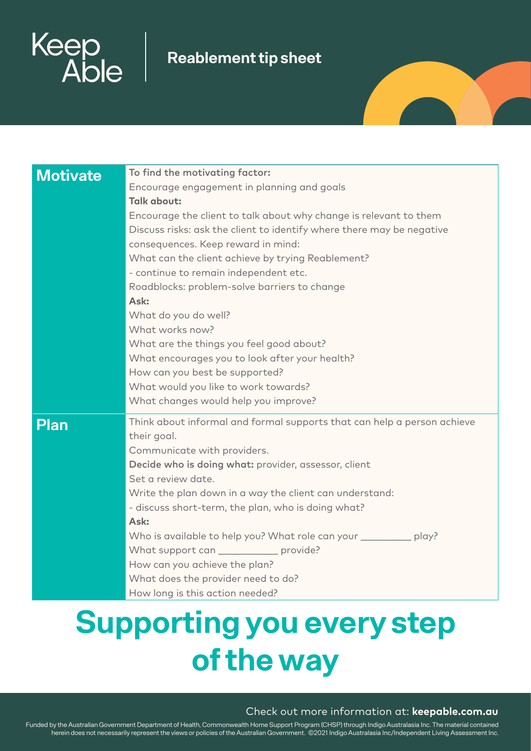

### **Reablement tip sheet**

| <b>Motivate</b> | To find the motivating factor:<br>Encourage engagement in planning and goals<br><b>Talk about:</b><br>Encourage the client to talk about why change is relevant to them<br>Discuss risks: ask the client to identify where there may be negative<br>consequences. Keep reward in mind:<br>What can the client achieve by trying Reablement?<br>- continue to remain independent etc.<br>Roadblocks: problem-solve barriers to change<br>Ask:<br>What do you do well?<br>What works now?<br>What are the things you feel good about?<br>What encourages you to look after your health?<br>How can you best be supported?<br>What would you like to work towards?<br>What changes would help you improve? |
|-----------------|---------------------------------------------------------------------------------------------------------------------------------------------------------------------------------------------------------------------------------------------------------------------------------------------------------------------------------------------------------------------------------------------------------------------------------------------------------------------------------------------------------------------------------------------------------------------------------------------------------------------------------------------------------------------------------------------------------|
| <b>Plan</b>     | Think about informal and formal supports that can help a person achieve<br>their goal.<br>Communicate with providers.<br>Decide who is doing what: provider, assessor, client<br>Set a review date.<br>Write the plan down in a way the client can understand:<br>- discuss short-term, the plan, who is doing what?<br>Ask:<br>Who is available to help you? What role can your ___________ play?<br>What support can _____________ provide?<br>How can you achieve the plan?<br>What does the provider need to do?<br>How long is this action needed?                                                                                                                                                 |

# **Supporting you every step of the way**

#### Check out more information at: **keepable.com.au**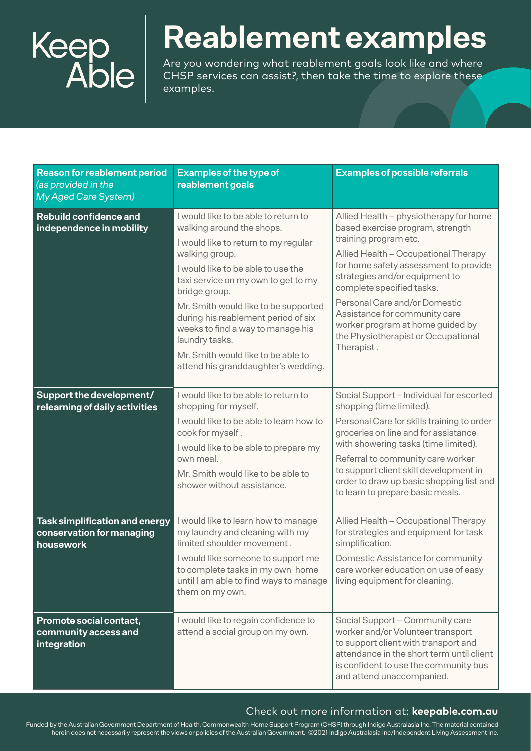

## **Reablement examples**

Are you wondering what reablement goals look like and where CHSP services can assist?, then take the time to explore these examples.

| <b>Reason for reablement period</b><br>(as provided in the<br><b>My Aged Care System)</b> | <b>Examples of the type of</b><br>reablement goals                                                                                                                                                                                                                                                                                                                                                                                           | <b>Examples of possible referrals</b>                                                                                                                                                                                                                                                                                                                                                                          |
|-------------------------------------------------------------------------------------------|----------------------------------------------------------------------------------------------------------------------------------------------------------------------------------------------------------------------------------------------------------------------------------------------------------------------------------------------------------------------------------------------------------------------------------------------|----------------------------------------------------------------------------------------------------------------------------------------------------------------------------------------------------------------------------------------------------------------------------------------------------------------------------------------------------------------------------------------------------------------|
| Rebuild confidence and<br>independence in mobility                                        | I would like to be able to return to<br>walking around the shops.<br>I would like to return to my regular<br>walking group.<br>I would like to be able to use the<br>taxi service on my own to get to my<br>bridge group.<br>Mr. Smith would like to be supported<br>during his reablement period of six<br>weeks to find a way to manage his<br>laundry tasks.<br>Mr. Smith would like to be able to<br>attend his granddaughter's wedding. | Allied Health - physiotherapy for home<br>based exercise program, strength<br>training program etc.<br>Allied Health - Occupational Therapy<br>for home safety assessment to provide<br>strategies and/or equipment to<br>complete specified tasks.<br>Personal Care and/or Domestic<br>Assistance for community care<br>worker program at home guided by<br>the Physiotherapist or Occupational<br>Therapist. |
| Support the development/<br>relearning of daily activities                                | I would like to be able to return to<br>shopping for myself.<br>I would like to be able to learn how to<br>cook for myself.<br>I would like to be able to prepare my<br>own meal.<br>Mr. Smith would like to be able to<br>shower without assistance.                                                                                                                                                                                        | Social Support - Individual for escorted<br>shopping (time limited).<br>Personal Care for skills training to order<br>groceries on line and for assistance<br>with showering tasks (time limited).<br>Referral to community care worker<br>to support client skill development in<br>order to draw up basic shopping list and<br>to learn to prepare basic meals.                                              |
| <b>Task simplification and energy</b><br>conservation for managing<br>housework           | I would like to learn how to manage<br>my laundry and cleaning with my<br>limited shoulder movement.<br>I would like someone to support me<br>to complete tasks in my own home<br>until I am able to find ways to manage<br>them on my own.                                                                                                                                                                                                  | Allied Health - Occupational Therapy<br>for strategies and equipment for task<br>simplification.<br>Domestic Assistance for community<br>care worker education on use of easy<br>living equipment for cleaning.                                                                                                                                                                                                |
| Promote social contact,<br>community access and<br>integration                            | I would like to regain confidence to<br>attend a social group on my own.                                                                                                                                                                                                                                                                                                                                                                     | Social Support - Community care<br>worker and/or Volunteer transport<br>to support client with transport and<br>attendance in the short term until client<br>is confident to use the community bus<br>and attend unaccompanied.                                                                                                                                                                                |

#### Check out more information at: **keepable.com.au**